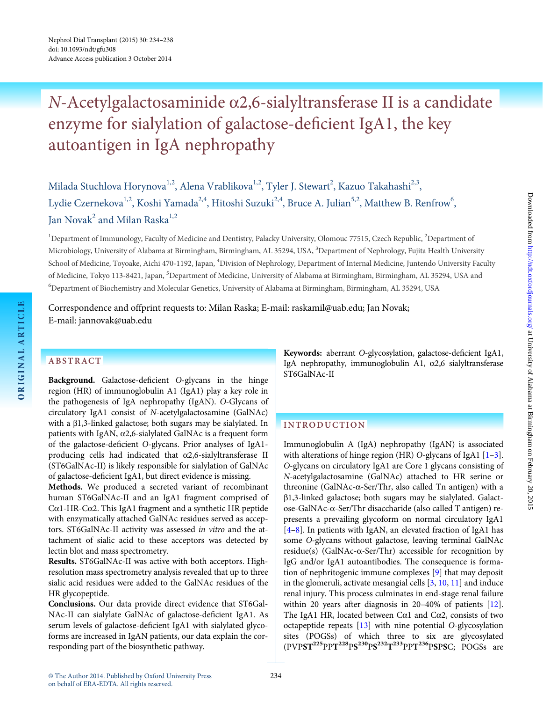# N-Acetylgalactosaminide α2,6-sialyltransferase II is a candidate enzyme for sialylation of galactose-deficient IgA1, the key autoantigen in IgA nephropathy

Milada Stuchlova Horynova<sup>1,2</sup>, Alena Vrablikova<sup>1,2</sup>, Tyler J. Stewart<sup>2</sup>, Kazuo Takahashi<sup>2,3</sup>, Lydie Czernekova $^{1,2}$ , Koshi Yamada $^{2,4}$ , Hitoshi Suzuki $^{2,4}$ , Bruce A. Julian $^{5,2}$ , Matthew B. Renfrow $^6$ , Ian Novak<sup>2</sup> and Milan Raska<sup>1,2</sup>

<sup>1</sup>Department of Immunology, Faculty of Medicine and Dentistry, Palacky University, Olomouc 77515, Czech Republic, <sup>2</sup>Department of Microbiology, University of Alabama at Birmingham, Birmingham, AL 35294, USA, <sup>3</sup>Department of Nephrology, Fujita Health University School of Medicine, Toyoake, Aichi 470-1192, Japan, <sup>4</sup>Division of Nephrology, Department of Internal Medicine, Juntendo University Faculty of Medicine, Tokyo 113-8421, Japan, <sup>5</sup>Department of Medicine, University of Alabama at Birmingham, Birmingham, AL 35294, USA and 6 Department of Biochemistry and Molecular Genetics, University of Alabama at Birmingham, Birmingham, AL 35294, USA

Correspondence and offprint requests to: Milan Raska; E-mail: raskamil@uab.edu; Jan Novak; E-mail: jannovak@uab.edu

# ABSTRACT

ORIGINAL ARTICLE

ORIGINAL ARTICLE

Background. Galactose-deficient O-glycans in the hinge region (HR) of immunoglobulin A1 (IgA1) play a key role in the pathogenesis of IgA nephropathy (IgAN). O-Glycans of circulatory IgA1 consist of N-acetylgalactosamine (GalNAc) with a β1,3-linked galactose; both sugars may be sialylated. In patients with IgAN,  $\alpha$ 2,6-sialylated GalNAc is a frequent form of the galactose-deficient O-glycans. Prior analyses of IgA1 producing cells had indicated that α2,6-sialyltransferase II (ST6GalNAc-II) is likely responsible for sialylation of GalNAc of galactose-deficient IgA1, but direct evidence is missing.

Methods. We produced a secreted variant of recombinant human ST6GalNAc-II and an IgA1 fragment comprised of Cα1-HR-Cα2. This IgA1 fragment and a synthetic HR peptide with enzymatically attached GalNAc residues served as acceptors. ST6GalNAc-II activity was assessed in vitro and the attachment of sialic acid to these acceptors was detected by lectin blot and mass spectrometry.

Results. ST6GalNAc-II was active with both acceptors. Highresolution mass spectrometry analysis revealed that up to three sialic acid residues were added to the GalNAc residues of the HR glycopeptide.

Conclusions. Our data provide direct evidence that ST6Gal-NAc-II can sialylate GalNAc of galactose-deficient IgA1. As serum levels of galactose-deficient IgA1 with sialylated glycoforms are increased in IgAN patients, our data explain the corresponding part of the biosynthetic pathway.

Keywords: aberrant O-glycosylation, galactose-deficient IgA1, IgA nephropathy, immunoglobulin A1,  $\alpha$ 2,6 sialyltransferase ST6GalNAc-II

# INTRODUCTION

Immunoglobulin A (IgA) nephropathy (IgAN) is associated with alterations of hinge region (HR) O-glycans of IgA[1](#page-4-0) [1–[3](#page-4-0)]. O-glycans on circulatory IgA1 are Core 1 glycans consisting of N-acetylgalactosamine (GalNAc) attached to HR serine or threonine (GalNAc-α-Ser/Thr, also called Tn antigen) with a β1,3-linked galactose; both sugars may be sialylated. Galactose-GalNAc-α-Ser/Thr disaccharide (also called T antigen) represents a prevailing glycoform on normal circulatory IgA1 [\[4](#page-4-0)–[8](#page-4-0)]. In patients with IgAN, an elevated fraction of IgA1 has some O-glycans without galactose, leaving terminal GalNAc residue(s) (GalNAc- $\alpha$ -Ser/Thr) accessible for recognition by IgG and/or IgA1 autoantibodies. The consequence is formation of nephritogenic immune complexes [[9\]](#page-4-0) that may deposit in the glomeruli, activate mesangial cells [\[3,](#page-4-0) [10](#page-4-0), [11](#page-4-0)] and induce renal injury. This process culminates in end-stage renal failure within 20 years after diagnosis in 20–40% of patients [[12](#page-4-0)]. The IgA1 HR, located between C $\alpha$ 1 and C $\alpha$ 2, consists of two octapeptide repeats [[13](#page-4-0)] with nine potential O-glycosylation sites (POGSs) of which three to six are glycosylated  $(PVPST^{225}PPT^{228}PS^{230}PS^{232}T^{233}PPT^{236}PSPSC; POGSs are$ 

on behalf of ERA-EDTA. All rights reserved.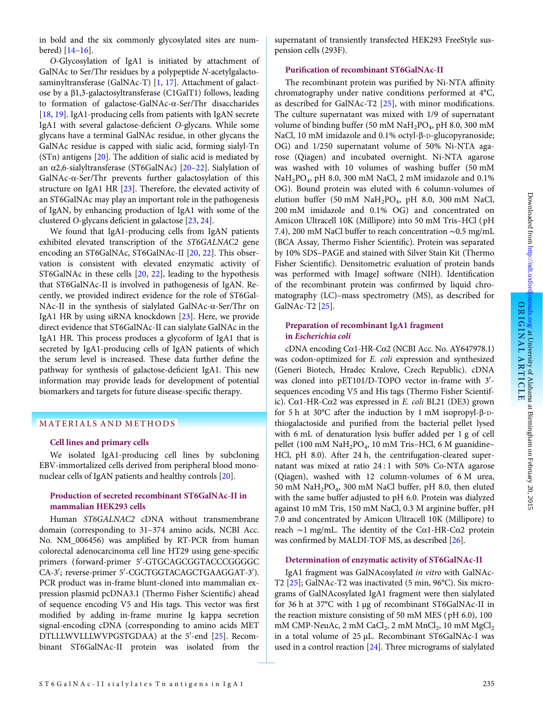in bold and the six commonly glycosylated sites are numbered) [\[14](#page-4-0)–[16\]](#page-4-0).

O-Glycosylation of IgA1 is initiated by attachment of GalNAc to Ser/Thr residues by a polypeptide N-acetylgalactosaminyltransferase (GalNAc-T) [[1](#page-4-0), [17](#page-4-0)]. Attachment of galactose by a β1,3-galactosyltransferase (C1GalT1) follows, leading to formation of galactose-GalNAc-α-Ser/Thr disaccharides [[18](#page-4-0), [19](#page-4-0)]. IgA1-producing cells from patients with IgAN secrete IgA1 with several galactose-deficient O-glycans. While some glycans have a terminal GalNAc residue, in other glycans the GalNAc residue is capped with sialic acid, forming sialyl-Tn (STn) antigens [[20](#page-4-0)]. The addition of sialic acid is mediated by an α2,6-sialyltransferase (ST6GalNAc) [\[20](#page-4-0)–[22\]](#page-4-0). Sialylation of GalNAc-α-Ser/Thr prevents further galactosylation of this structure on IgA1 HR [\[23\]](#page-4-0). Therefore, the elevated activity of an ST6GalNAc may play an important role in the pathogenesis of IgAN, by enhancing production of IgA1 with some of the clustered O-glycans deficient in galactose [\[23,](#page-4-0) [24\]](#page-4-0).

We found that IgA1-producing cells from IgAN patients exhibited elevated transcription of the ST6GALNAC2 gene encoding an ST6GalNAc, ST6GalNAc-II [[20,](#page-4-0) [22](#page-4-0)]. This observation is consistent with elevated enzymatic activity of ST6GalNAc in these cells [\[20](#page-4-0), [22](#page-4-0)], leading to the hypothesis that ST6GalNAc-II is involved in pathogenesis of IgAN. Recently, we provided indirect evidence for the role of ST6Gal-NAc-II in the synthesis of sialylated GalNAc-α-Ser/Thr on IgA1 HR by using siRNA knockdown [[23\]](#page-4-0). Here, we provide direct evidence that ST6GalNAc-II can sialylate GalNAc in the IgA1 HR. This process produces a glycoform of IgA1 that is secreted by IgA1-producing cells of IgAN patients of which the serum level is increased. These data further define the pathway for synthesis of galactose-deficient IgA1. This new information may provide leads for development of potential biomarkers and targets for future disease-specific therapy.

#### MATERIALS AND METHODS

#### Cell lines and primary cells

We isolated IgA1-producing cell lines by subcloning EBV-immortalized cells derived from peripheral blood mononuclear cells of IgAN patients and healthy controls [\[20\]](#page-4-0).

## Production of secreted recombinant ST6GalNAc-II in mammalian HEK293 cells

Human ST6GALNAC2 cDNA without transmembrane domain (corresponding to 31–374 amino acids, NCBI Acc. No. NM 006456) was amplified by RT-PCR from human colorectal adenocarcinoma cell line HT29 using gene-specific primers (forward-primer 5'-GTGCAGCGGTACCCGGGGC CA-3'; reverse-primer 5'-CGCTGGTACAGCTGAAGGAT-3'). PCR product was in-frame blunt-cloned into mammalian expression plasmid pcDNA3.1 (Thermo Fisher Scientific) ahead of sequence encoding V5 and His tags. This vector was first modified by adding in-frame murine Ig kappa secretion signal-encoding cDNA (corresponding to amino acids MET DTLLLWVLLLWVPGSTGDAA) at the 5'-end [\[25\]](#page-4-0). Recombinant ST6GalNAc-II protein was isolated from the supernatant of transiently transfected HEK293 FreeStyle suspension cells (293F).

#### Purification of recombinant ST6GalNAc-II

The recombinant protein was purified by Ni-NTA affinity chromatography under native conditions performed at 4°C, as described for GalNAc-T2 [\[25\]](#page-4-0), with minor modifications. The culture supernatant was mixed with 1/9 of supernatant volume of binding buffer (50 mM  $\text{NaH}_2\text{PO}_4$ , pH 8.0, 300 mM NaCl, 10 mM imidazole and 0.1% octyl-β-D-glucopyranoside; OG) and 1/250 supernatant volume of 50% Ni-NTA agarose (Qiagen) and incubated overnight. Ni-NTA agarose was washed with 10 volumes of washing buffer (50 mM NaH2PO4, pH 8.0, 300 mM NaCl, 2 mM imidazole and 0.1% OG). Bound protein was eluted with 6 column-volumes of elution buffer (50 mM  $NaH<sub>2</sub>PO<sub>4</sub>$ , pH 8.0, 300 mM NaCl, 200 mM imidazole and 0.1% OG) and concentrated on Amicon Ultracell 10K (Millipore) into 50 mM Tris–HCl ( pH 7.4), 200 mM NaCl buffer to reach concentration ∼0.5 mg/mL (BCA Assay, Thermo Fisher Scientific). Protein was separated by 10% SDS–PAGE and stained with Silver Stain Kit (Thermo Fisher Scientific). Densitometric evaluation of protein bands was performed with ImageJ software (NIH). Identification of the recombinant protein was confirmed by liquid chromatography (LC)–mass spectrometry (MS), as described for GalNAc-T2 [\[25](#page-4-0)].

### Preparation of recombinant IgA1 fragment in Escherichia coli

cDNA encoding Cα1-HR-Cα2 (NCBI Acc. No. AY647978.1) was codon-optimized for E. coli expression and synthesized (Generi Biotech, Hradec Kralove, Czech Republic). cDNA was cloned into  $pET101/D-TOPO$  vector in-frame with  $3'$ sequences encoding V5 and His tags (Thermo Fisher Scientific). Cα1-HR-Cα2 was expressed in E. coli BL21 (DE3) grown for 5 h at 30°C after the induction by 1 mM isopropyl-β-Dthiogalactoside and purified from the bacterial pellet lysed with 6 mL of denaturation lysis buffer added per 1 g of cell pellet (100 mM NaH<sub>2</sub>PO<sub>4</sub>, 10 mM Tris-HCl, 6 M guanidine-HCl, pH 8.0). After 24 h, the centrifugation-cleared supernatant was mixed at ratio 24 : 1 with 50% Co-NTA agarose (Qiagen), washed with 12 column-volumes of 6 M urea, 50 mM NaH2PO4, 300 mM NaCl buffer, pH 8.0, then eluted with the same buffer adjusted to pH 6.0. Protein was dialyzed against 10 mM Tris, 150 mM NaCl, 0.3 M arginine buffer, pH 7.0 and concentrated by Amicon Ultracell 10K (Millipore) to reach ∼1 mg/mL. The identity of the C $\alpha$ 1-HR-C $\alpha$ 2 protein was confirmed by MALDI-TOF MS, as described [[26\]](#page-4-0).

#### Determination of enzymatic activity of ST6GalNAc-II

IgA1 fragment was GalNAcosylated in vitro with GalNAc-T2 [[25](#page-4-0)]; GalNAc-T2 was inactivated (5 min, 96°C). Six micrograms of GalNAcosylated IgA1 fragment were then sialylated for 36 h at 37°C with 1 µg of recombinant ST6GalNAc-II in the reaction mixture consisting of 50 mM MES ( pH 6.0), 100 mM CMP-NeuAc,  $2 \text{ mM }$ CaCl<sub>2</sub>,  $2 \text{ mM }$ MnCl<sub>2</sub>,  $10 \text{ mM }$ MgCl<sub>2</sub> in a total volume of 25 µL. Recombinant ST6GalNAc-I was used in a control reaction [[24\]](#page-4-0). Three micrograms of sialylated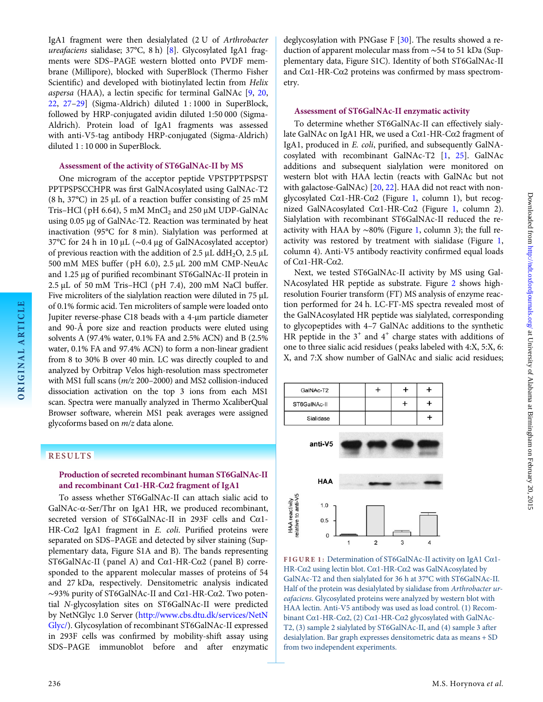IgA1 fragment were then desialylated (2 U of Arthrobacter ureafaciens sialidase; 37°C, 8 h) [\[8\]](#page-4-0). Glycosylated IgA1 fragments were SDS–PAGE western blotted onto PVDF membrane (Millipore), blocked with SuperBlock (Thermo Fisher Scientific) and developed with biotinylated lectin from Helix aspersa (HAA), a lectin specific for terminal GalNAc [\[9,](#page-4-0) [20](#page-4-0), [22](#page-4-0), [27](#page-4-0)–[29\]](#page-4-0) (Sigma-Aldrich) diluted 1 : 1000 in SuperBlock, followed by HRP-conjugated avidin diluted 1:50 000 (Sigma-Aldrich). Protein load of IgA1 fragments was assessed with anti-V5-tag antibody HRP-conjugated (Sigma-Aldrich) diluted 1 : 10 000 in SuperBlock.

### Assessment of the activity of ST6GalNAc-II by MS

One microgram of the acceptor peptide VPSTPPTPSPST PPTPSPSCCHPR was first GalNAcosylated using GalNAc-T2 (8 h,  $37^{\circ}$ C) in 25 µL of a reaction buffer consisting of 25 mM Tris–HCl ( $pH$  6.64), 5 mM MnCl<sub>2</sub> and 250  $\mu$ M UDP-GalNAc using 0.05 μg of GalNAc-T2. Reaction was terminated by heat inactivation (95°C for 8 min). Sialylation was performed at 37°C for 24 h in 10 μL (∼0.4 μg of GalNAcosylated acceptor) of previous reaction with the addition of 2.5  $\mu$ L ddH<sub>2</sub>O, 2.5  $\mu$ L 500 mM MES buffer ( pH 6.0), 2.5 μL 200 mM CMP-NeuAc and 1.25 μg of purified recombinant ST6GalNAc-II protein in 2.5 µL of 50 mM Tris–HCl ( pH 7.4), 200 mM NaCl buffer. Five microliters of the sialylation reaction were diluted in 75  $\mu$ L of 0.1% formic acid. Ten microliters of sample were loaded onto Jupiter reverse-phase C18 beads with a 4-µm particle diameter and 90-Å pore size and reaction products were eluted using solvents A (97.4% water, 0.1% FA and 2.5% ACN) and B (2.5% water, 0.1% FA and 97.4% ACN) to form a non-linear gradient from 8 to 30% B over 40 min. LC was directly coupled to and analyzed by Orbitrap Velos high-resolution mass spectrometer with MS1 full scans (m/z 200–2000) and MS2 collision-induced dissociation activation on the top 3 ions from each MS1 scan. Spectra were manually analyzed in Thermo XcaliberQual Browser software, wherein MS1 peak averages were assigned glycoforms based on m/z data alone.

# RESULTS

ORIGINAL ARTICLE

ORIGINAL ARTICLE

# Production of secreted recombinant human ST6GalNAc-II and recombinant Cα1-HR-Cα2 fragment of IgA1

To assess whether ST6GalNAc-II can attach sialic acid to GalNAc-α-Ser/Thr on IgA1 HR, we produced recombinant, secreted version of ST6GalNAc-II in 293F cells and Cα1- HR-C $\alpha$ 2 IgA1 fragment in *E. coli.* Purified proteins were separated on SDS–PAGE and detected by silver staining ([Sup](http://ndt.oxfordjournals.org/lookup/suppl/doi:10.1093/ndt/gfu308/-/DC1)[plementary data, Figure S1A](http://ndt.oxfordjournals.org/lookup/suppl/doi:10.1093/ndt/gfu308/-/DC1) and B). The bands representing ST6GalNAc-II ( panel A) and Cα1-HR-Cα2 ( panel B) corresponded to the apparent molecular masses of proteins of 54 and 27 kDa, respectively. Densitometric analysis indicated ∼93% purity of ST6GalNAc-II and Cα1-HR-Cα2. Two potential N-glycosylation sites on ST6GalNAc-II were predicted by NetNGlyc 1.0 Server [\(http://www.cbs.dtu.dk/services/NetN](http://www.cbs.dtu.dk/services/NetNGlyc/) [Glyc/](http://www.cbs.dtu.dk/services/NetNGlyc/)). Glycosylation of recombinant ST6GalNAc-II expressed in 293F cells was confirmed by mobility-shift assay using SDS–PAGE immunoblot before and after enzymatic

deglycosylation with PNGase F [[30](#page-4-0)]. The results showed a reduction of apparent molecular mass from ∼54 to 51 kDa [\(Sup](http://ndt.oxfordjournals.org/lookup/suppl/doi:10.1093/ndt/gfu308/-/DC1)[plementary data, Figure S1C](http://ndt.oxfordjournals.org/lookup/suppl/doi:10.1093/ndt/gfu308/-/DC1)). Identity of both ST6GalNAc-II and C $\alpha$ 1-HR-C $\alpha$ 2 proteins was confirmed by mass spectrometry.

#### Assessment of ST6GalNAc-II enzymatic activity

To determine whether ST6GalNAc-II can effectively sialylate GalNAc on IgA1 HR, we used a Cα1-HR-Cα2 fragment of IgA1, produced in E. coli, purified, and subsequently GalNAcosylated with recombinant GalNAc-T2 [[1](#page-4-0), [25\]](#page-4-0). GalNAc additions and subsequent sialylation were monitored on western blot with HAA lectin (reacts with GalNAc but not with galactose-GalNAc) [[20](#page-4-0), [22\]](#page-4-0). HAA did not react with nonglycosylated Cα1-HR-Cα2 (Figure 1, column 1), but recognized GalNAcosylated Cα1-HR-Cα2 (Figure 1, column 2). Sialylation with recombinant ST6GalNAc-II reduced the reactivity with HAA by ∼80% (Figure 1, column 3); the full reactivity was restored by treatment with sialidase (Figure 1, column 4). Anti-V5 antibody reactivity confirmed equal loads of Cα1-HR-Cα2.

Next, we tested ST6GalNAc-II activity by MS using Gal-NAcosylated HR peptide as substrate. Figure [2](#page-3-0) shows highresolution Fourier transform (FT) MS analysis of enzyme reaction performed for 24 h. LC-FT-MS spectra revealed most of the GalNAcosylated HR peptide was sialylated, corresponding to glycopeptides with 4–7 GalNAc additions to the synthetic HR peptide in the  $3^+$  and  $4^+$  charge states with additions of one to three sialic acid residues ( peaks labeled with 4:X, 5:X, 6: X, and 7:X show number of GalNAc and sialic acid residues;



FIGURE 1: Determination of ST6GalNAc-II activity on IgA1 Cα1- HR-Cα2 using lectin blot. Cα1-HR-Cα2 was GalNAcosylated by GalNAc-T2 and then sialylated for 36 h at 37°C with ST6GalNAc-II. Half of the protein was desialylated by sialidase from Arthrobacter ureafaciens. Glycosylated proteins were analyzed by western blot with HAA lectin. Anti-V5 antibody was used as load control. (1) Recombinant Cα1-HR-Cα2, (2) Cα1-HR-Cα2 glycosylated with GalNAc-T2, (3) sample 2 sialylated by ST6GalNAc-II, and (4) sample 3 after desialylation. Bar graph expresses densitometric data as means + SD from two independent experiments.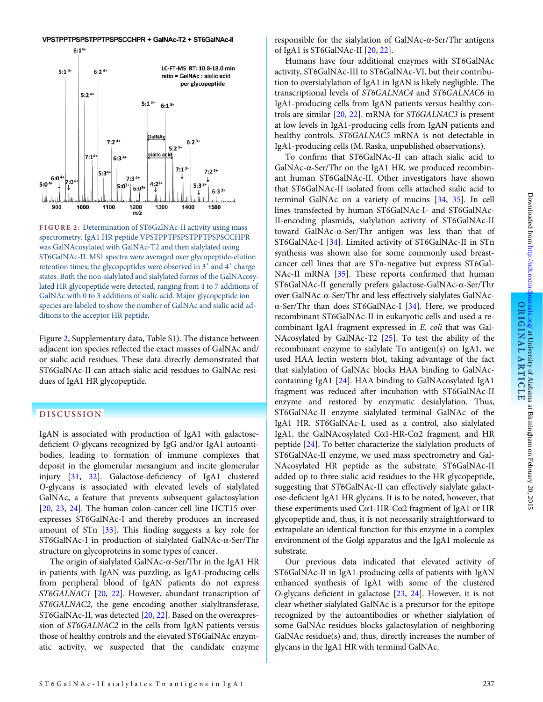#### VPSTPPTPSPSTPPTPSPSCCHPR + GaINAc-T2 + ST6GaINAc-II

<span id="page-3-0"></span>

FIGURE 2: Determination of ST6GalNAc-II activity using mass spectrometry. IgA1 HR peptide VPSTPPTPSPSTPPTPSPSCCHPR was GalNAcosylated with GalNAc-T2 and then sialylated using ST6GalNAc-II. MS1 spectra were averaged over glycopeptide-elution retention times; the glycopeptides were observed in  $3^+$  and  $4^+$  charge states. Both the non-sialylated and sialylated forms of the GalNAcosylated HR glycopeptide were detected, ranging from 4 to 7 additions of GalNAc with 0 to 3 additions of sialic acid. Major glycopeptide ion species are labeled to show the number of GalNAc and sialic acid additions to the acceptor HR peptide.

Figure 2, [Supplementary data, Table S1](http://ndt.oxfordjournals.org/lookup/suppl/doi:10.1093/ndt/gfu308/-/DC1)). The distance between adjacent ion species reflected the exact masses of GalNAc and/ or sialic acid residues. These data directly demonstrated that ST6GalNAc-II can attach sialic acid residues to GalNAc residues of IgA1 HR glycopeptide.

#### DISCUSSION

IgAN is associated with production of IgA1 with galactosedeficient O-glycans recognized by IgG and/or IgA1 autoantibodies, leading to formation of immune complexes that deposit in the glomerular mesangium and incite glomerular injury [[31,](#page-4-0) [32\]](#page-4-0). Galactose-deficiency of IgA1 clustered O-glycans is associated with elevated levels of sialylated GalNAc, a feature that prevents subsequent galactosylation [[20](#page-4-0), [23,](#page-4-0) [24\]](#page-4-0). The human colon-cancer cell line HCT15 overexpresses ST6GalNAc-I and thereby produces an increased amount of STn [\[33](#page-4-0)]. This finding suggests a key role for ST6GalNAc-I in production of sialylated GalNAc-α-Ser/Thr structure on glycoproteins in some types of cancer.

The origin of sialylated GalNAc-α-Ser/Thr in the IgA1 HR in patients with IgAN was puzzling, as IgA1-producing cells from peripheral blood of IgAN patients do not express ST6GALNAC1 [[20](#page-4-0), [22](#page-4-0)]. However, abundant transcription of ST6GALNAC2, the gene encoding another sialyltransferase, ST6GalNAc-II, was detected [[20](#page-4-0), [22](#page-4-0)]. Based on the overexpression of ST6GALNAC2 in the cells from IgAN patients versus those of healthy controls and the elevated ST6GalNAc enzymatic activity, we suspected that the candidate enzyme responsible for the sialylation of GalNAc-α-Ser/Thr antigens of IgA1 is ST6GalNAc-II [\[20](#page-4-0), [22](#page-4-0)].

Humans have four additional enzymes with ST6GalNAc activity, ST6GalNAc-III to ST6GalNAc-VI, but their contribution to oversialylation of IgA1 in IgAN is likely negligible. The transcriptional levels of ST6GALNAC4 and ST6GALNAC6 in IgA1-producing cells from IgAN patients versus healthy controls are similar [\[20,](#page-4-0) [22\]](#page-4-0). mRNA for ST6GALNAC3 is present at low levels in IgA1-producing cells from IgAN patients and healthy controls. ST6GALNAC5 mRNA is not detectable in IgA1-producing cells (M. Raska, unpublished observations).

To confirm that ST6GalNAc-II can attach sialic acid to GalNAc-α-Ser/Thr on the IgA1 HR, we produced recombinant human ST6GalNAc-II. Other investigators have shown that ST6GalNAc-II isolated from cells attached sialic acid to terminal GalNAc on a variety of mucins [[34](#page-4-0), [35\]](#page-4-0). In cell lines transfected by human ST6GalNAc-I- and ST6GalNAc-II-encoding plasmids, sialylation activity of ST6GalNAc-II toward GalNAc-α-Ser/Thr antigen was less than that of ST6GalNAc-I [[34](#page-4-0)]. Limited activity of ST6GalNAc-II in STn synthesis was shown also for some commonly used breastcancer cell lines that are STn-negative but express ST6Gal-NAc-II mRNA [[35](#page-4-0)]. These reports confirmed that human ST6GalNAc-II generally prefers galactose-GalNAc-α-Ser/Thr over GalNAc-α-Ser/Thr and less effectively sialylates GalNAc- $\alpha$ -Ser/Thr than does ST6GalNAc-I [[34](#page-4-0)]. Here, we produced recombinant ST6GalNAc-II in eukaryotic cells and used a recombinant IgA1 fragment expressed in E. coli that was Gal-NAcosylated by GalNAc-T2 [[25](#page-4-0)]. To test the ability of the recombinant enzyme to sialylate Tn antigen(s) on IgA1, we used HAA lectin western blot, taking advantage of the fact that sialylation of GalNAc blocks HAA binding to GalNAccontaining IgA1 [[24\]](#page-4-0). HAA binding to GalNAcosylated IgA1 fragment was reduced after incubation with ST6GalNAc-II enzyme and restored by enzymatic desialylation. Thus, ST6GalNAc-II enzyme sialylated terminal GalNAc of the IgA1 HR. ST6GalNAc-I, used as a control, also sialylated IgA1, the GalNAcosylated Cα1-HR-Cα2 fragment, and HR peptide [[24](#page-4-0)]. To better characterize the sialylation products of ST6GalNAc-II enzyme, we used mass spectrometry and Gal-NAcosylated HR peptide as the substrate. ST6GalNAc-II added up to three sialic acid residues to the HR glycopeptide, suggesting that ST6GalNAc-II can effectively sialylate galactose-deficient IgA1 HR glycans. It is to be noted, however, that these experiments used Cα1-HR-Cα2 fragment of IgA1 or HR glycopeptide and, thus, it is not necessarily straightforward to extrapolate an identical function for this enzyme in a complex environment of the Golgi apparatus and the IgA1 molecule as substrate.

Our previous data indicated that elevated activity of ST6GalNAc-II in IgA1-producing cells of patients with IgAN enhanced synthesis of IgA1 with some of the clustered O-glycans deficient in galactose [\[23,](#page-4-0) [24\]](#page-4-0). However, it is not clear whether sialylated GalNAc is a precursor for the epitope recognized by the autoantibodies or whether sialylation of some GalNAc residues blocks galactosylation of neighboring GalNAc residue(s) and, thus, directly increases the number of glycans in the IgA1 HR with terminal GalNAc.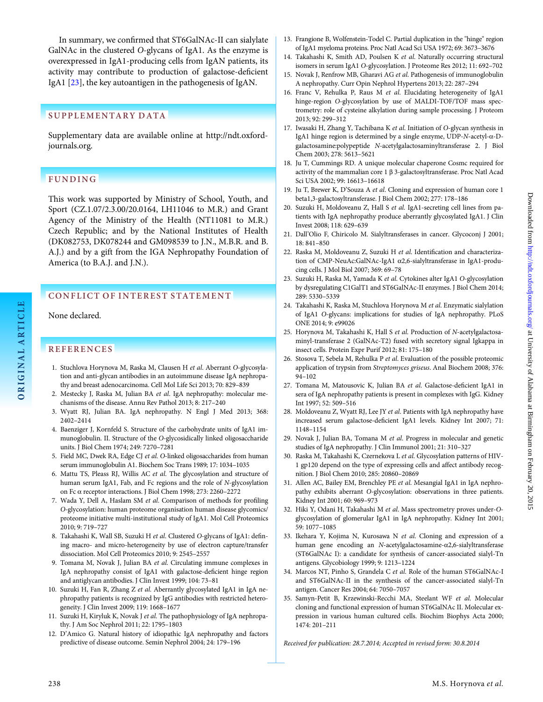<span id="page-4-0"></span>In summary, we confirmed that ST6GalNAc-II can sialylate GalNAc in the clustered O-glycans of IgA1. As the enzyme is overexpressed in IgA1-producing cells from IgAN patients, its activity may contribute to production of galactose-deficient IgA1 [23], the key autoantigen in the pathogenesis of IgAN.

# SUPPLEMENTARY DATA

[Supplementary data are available online at http://ndt.oxford](http://ndt.oxfordjournals.org/lookup/suppl/doi:10.1093/ndt/gfu308/-/DC1)[journals.org.](http://ndt.oxfordjournals.org/lookup/suppl/doi:10.1093/ndt/gfu308/-/DC1)

# FUNDING

This work was supported by Ministry of School, Youth, and Sport (CZ.1.07/2.3.00/20.0164, LH11046 to M.R.) and Grant Agency of the Ministry of the Health (NT11081 to M.R.) Czech Republic; and by the National Institutes of Health (DK082753, DK078244 and GM098539 to J.N., M.B.R. and B. A.J.) and by a gift from the IGA Nephropathy Foundation of America (to B.A.J. and J.N.).

# CONFLICT OF INTEREST STATEMENT

None declared.

ORIGINAL ARTICLE

ORIGINAL ARTICLE

# REFERENCES

- 1. Stuchlova Horynova M, Raska M, Clausen H et al. Aberrant O-glycosylation and anti-glycan antibodies in an autoimmune disease IgA nephropathy and breast adenocarcinoma. Cell Mol Life Sci 2013; 70: 829–839
- 2. Mestecky J, Raska M, Julian BA et al. IgA nephropathy: molecular mechanisms of the disease. Annu Rev Pathol 2013; 8: 217–240
- 3. Wyatt RJ, Julian BA. IgA nephropathy. N Engl J Med 2013; 368: 2402–2414
- 4. Baenziger J, Kornfeld S. Structure of the carbohydrate units of IgA1 immunoglobulin. II. Structure of the O-glycosidically linked oligosaccharide units. J Biol Chem 1974; 249: 7270–7281
- 5. Field MC, Dwek RA, Edge CJ et al. O-linked oligosaccharides from human serum immunoglobulin A1. Biochem Soc Trans 1989; 17: 1034–1035
- 6. Mattu TS, Pleass RJ, Willis AC et al. The glycosylation and structure of human serum IgA1, Fab, and Fc regions and the role of N-glycosylation on Fc α receptor interactions. J Biol Chem 1998; 273: 2260–2272
- 7. Wada Y, Dell A, Haslam SM et al. Comparison of methods for profiling O-glycosylation: human proteome organisation human disease glycomics/ proteome initiative multi-institutional study of IgA1. Mol Cell Proteomics 2010; 9: 719–727
- 8. Takahashi K, Wall SB, Suzuki H et al. Clustered O-glycans of IgA1: defining macro- and micro-heterogeneity by use of electron capture/transfer dissociation. Mol Cell Proteomics 2010; 9: 2545–2557
- 9. Tomana M, Novak J, Julian BA et al. Circulating immune complexes in IgA nephropathy consist of IgA1 with galactose-deficient hinge region and antiglycan antibodies. J Clin Invest 1999; 104: 73–81
- 10. Suzuki H, Fan R, Zhang Z et al. Aberrantly glycosylated IgA1 in IgA nephropathy patients is recognized by IgG antibodies with restricted heterogeneity. J Clin Invest 2009; 119: 1668–1677
- 11. Suzuki H, Kiryluk K, Novak J et al. The pathophysiology of IgA nephropathy. J Am Soc Nephrol 2011; 22: 1795–1803
- 12. D'Amico G. Natural history of idiopathic IgA nephropathy and factors predictive of disease outcome. Semin Nephrol 2004; 24: 179–196
- 13. Frangione B, Wolfenstein-Todel C. Partial duplication in the "hinge" region of IgA1 myeloma proteins. Proc Natl Acad Sci USA 1972; 69: 3673–3676
- 14. Takahashi K, Smith AD, Poulsen K et al. Naturally occurring structural isomers in serum IgA1 O-glycosylation. J Proteome Res 2012; 11: 692–702
- Novak J, Renfrow MB, Gharavi AG et al. Pathogenesis of immunoglobulin A nephropathy. Curr Opin Nephrol Hypertens 2013; 22: 287–294
- 16. Franc V, Rehulka P, Raus M et al. Elucidating heterogeneity of IgA1 hinge-region O-glycosylation by use of MALDI-TOF/TOF mass spectrometry: role of cysteine alkylation during sample processing. J Proteom 2013; 92: 299–312
- 17. Iwasaki H, Zhang Y, Tachibana K et al. Initiation of O-glycan synthesis in IgA1 hinge region is determined by a single enzyme, UDP-N-acetyl-α-Dgalactosamine:polypeptide N-acetylgalactosaminyltransferase 2. J Biol Chem 2003; 278: 5613–5621
- 18. Ju T, Cummings RD. A unique molecular chaperone Cosmc required for activity of the mammalian core 1 β 3-galactosyltransferase. Proc Natl Acad Sci USA 2002; 99: 16613–16618
- 19. Ju T, Brewer K, D'Souza A et al. Cloning and expression of human core 1 beta1,3-galactosyltransferase. J Biol Chem 2002; 277: 178–186
- 20. Suzuki H, Moldoveanu Z, Hall S et al. IgA1-secreting cell lines from patients with IgA nephropathy produce aberrantly glycosylated IgA1. J Clin Invest 2008; 118: 629–639
- 21. Dall'Olio F, Chiricolo M. Sialyltransferases in cancer. Glycoconj J 2001; 18: 841–850
- 22. Raska M, Moldoveanu Z, Suzuki H et al. Identification and characterization of CMP-NeuAc:GalNAc-IgA1 α2,6-sialyltransferase in IgA1-producing cells. J Mol Biol 2007; 369: 69–78
- 23. Suzuki H, Raska M, Yamada K et al. Cytokines alter IgA1 O-glycosylation by dysregulating C1GalT1 and ST6GalNAc-II enzymes. J Biol Chem 2014; 289: 5330–5339
- 24. Takahashi K, Raska M, Stuchlova Horynova M et al. Enzymatic sialylation of IgA1 O-glycans: implications for studies of IgA nephropathy. PLoS ONE 2014; 9: e99026
- 25. Horynova M, Takahashi K, Hall S et al. Production of N-acetylgalactosaminyl-transferase 2 (GalNAc-T2) fused with secretory signal Igkappa in insect cells. Protein Expr Purif 2012; 81: 175–180
- 26. Stosova T, Sebela M, Rehulka P et al. Evaluation of the possible proteomic application of trypsin from Streptomyces griseus. Anal Biochem 2008; 376: 94–102
- 27. Tomana M, Matousovic K, Julian BA et al. Galactose-deficient IgA1 in sera of IgA nephropathy patients is present in complexes with IgG. Kidney Int 1997; 52: 509–516
- 28. Moldoveanu Z, Wyatt RJ, Lee JY et al. Patients with IgA nephropathy have increased serum galactose-deficient IgA1 levels. Kidney Int 2007; 71: 1148–1154
- 29. Novak J, Julian BA, Tomana M et al. Progress in molecular and genetic studies of IgA nephropathy. J Clin Immunol 2001; 21: 310–327
- Raska M, Takahashi K, Czernekova L et al. Glycosylation patterns of HIV-1 gp120 depend on the type of expressing cells and affect antibody recognition. J Biol Chem 2010; 285: 20860–20869
- 31. Allen AC, Bailey EM, Brenchley PE et al. Mesangial IgA1 in IgA nephropathy exhibits aberrant O-glycosylation: observations in three patients. Kidney Int 2001; 60: 969–973
- 32. Hiki Y, Odani H, Takahashi M et al. Mass spectrometry proves under-Oglycosylation of glomerular IgA1 in IgA nephropathy. Kidney Int 2001; 59: 1077–1085
- 33. Ikehara Y, Kojima N, Kurosawa N et al. Cloning and expression of a human gene encoding an N-acetylgalactosamine-α2,6-sialyltransferase (ST6GalNAc I): a candidate for synthesis of cancer-associated sialyl-Tn antigens. Glycobiology 1999; 9: 1213–1224
- 34. Marcos NT, Pinho S, Grandela C et al. Role of the human ST6GalNAc-I and ST6GalNAc-II in the synthesis of the cancer-associated sialyl-Tn antigen. Cancer Res 2004; 64: 7050–7057
- 35. Samyn-Petit B, Krzewinski-Recchi MA, Steelant WF et al. Molecular cloning and functional expression of human ST6GalNAc II. Molecular expression in various human cultured cells. Biochim Biophys Acta 2000; 1474: 201–211

Received for publication: 28.7.2014; Accepted in revised form: 30.8.2014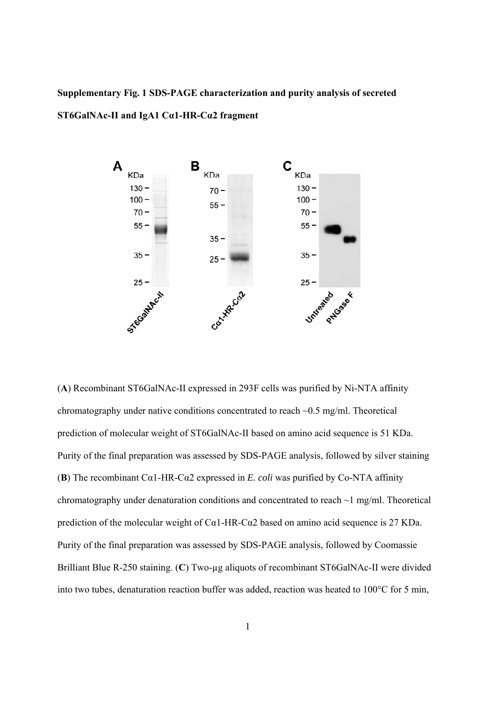# **Supplementary Fig. 1 SDS-PAGE characterization and purity analysis of secreted ST6GalNAc-II and IgA1 Cα1-HR-Cα2 fragment**



(**A**) Recombinant ST6GalNAc-II expressed in 293F cells was purified by Ni-NTA affinity chromatography under native conditions concentrated to reach ~0.5 mg/ml. Theoretical prediction of molecular weight of ST6GalNAc-II based on amino acid sequence is 51 KDa. Purity of the final preparation was assessed by SDS-PAGE analysis, followed by silver staining (**B**) The recombinant Cα1-HR-Cα2 expressed in *E. coli* was purified by Co-NTA affinity chromatography under denaturation conditions and concentrated to reach ~1 mg/ml. Theoretical prediction of the molecular weight of C $\alpha$ 1-HR-C $\alpha$ 2 based on amino acid sequence is 27 KDa. Purity of the final preparation was assessed by SDS-PAGE analysis, followed by Coomassie Brilliant Blue R-250 staining. (C) Two-µg aliquots of recombinant ST6GalNAc-II were divided into two tubes, denaturation reaction buffer was added, reaction was heated to 100°C for 5 min,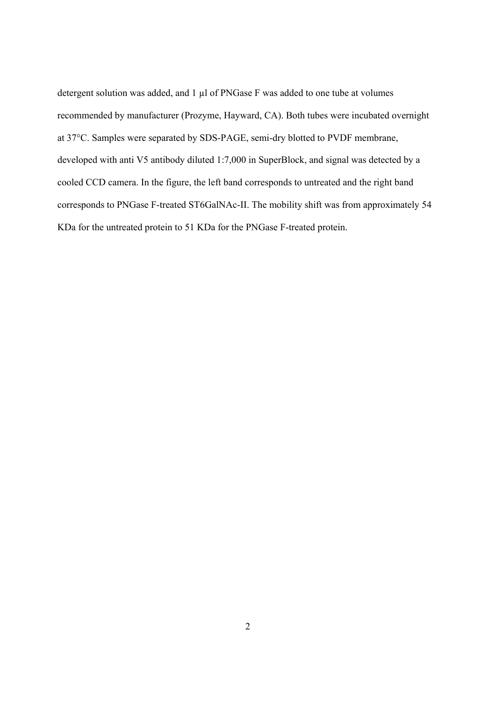detergent solution was added, and 1 µl of PNGase F was added to one tube at volumes recommended by manufacturer (Prozyme, Hayward, CA). Both tubes were incubated overnight at 37°C. Samples were separated by SDS-PAGE, semi-dry blotted to PVDF membrane, developed with anti V5 antibody diluted 1:7,000 in SuperBlock, and signal was detected by a cooled CCD camera. In the figure, the left band corresponds to untreated and the right band corresponds to PNGase F-treated ST6GalNAc-II. The mobility shift was from approximately 54 KDa for the untreated protein to 51 KDa for the PNGase F-treated protein.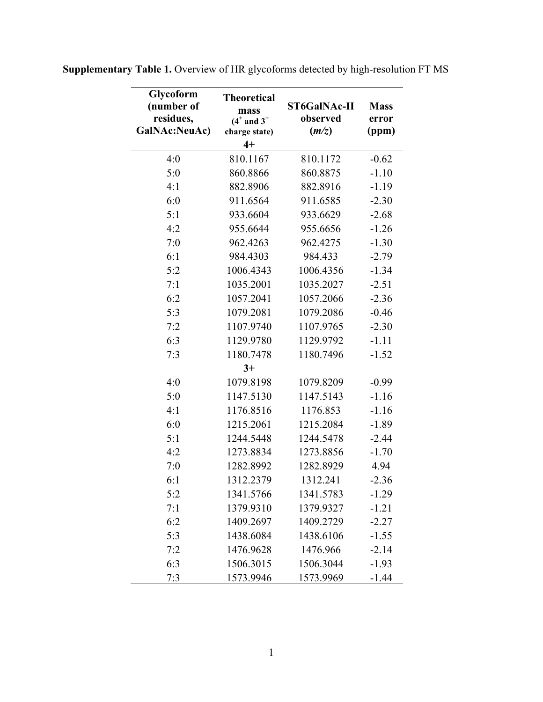| Glycoform<br>(number of<br>residues,<br>GalNAc:NeuAc) | <b>Theoretical</b><br>mass<br>$(4^+$ and $3^+$<br>charge state) | <b>ST6GalNAc-II</b><br>observed<br>(m/z) | <b>Mass</b><br>error<br>(ppm) |
|-------------------------------------------------------|-----------------------------------------------------------------|------------------------------------------|-------------------------------|
|                                                       | $4+$                                                            |                                          |                               |
| 4:0                                                   | 810.1167                                                        | 810.1172                                 | $-0.62$                       |
| 5:0                                                   | 860.8866                                                        | 860.8875                                 | $-1.10$                       |
| 4:1                                                   | 882.8906                                                        | 882.8916                                 | $-1.19$                       |
| 6:0                                                   | 911.6564                                                        | 911.6585                                 | $-2.30$                       |
| 5:1                                                   | 933.6604                                                        | 933.6629                                 | $-2.68$                       |
| 4:2                                                   | 955.6644                                                        | 955.6656                                 | $-1.26$                       |
| 7:0                                                   | 962.4263                                                        | 962.4275                                 | $-1.30$                       |
| 6:1                                                   | 984.4303                                                        | 984.433                                  | $-2.79$                       |
| 5:2                                                   | 1006.4343                                                       | 1006.4356                                | $-1.34$                       |
| 7:1                                                   | 1035.2001                                                       | 1035.2027                                | $-2.51$                       |
| 6:2                                                   | 1057.2041                                                       | 1057.2066                                | $-2.36$                       |
| 5:3                                                   | 1079.2081                                                       | 1079.2086                                | $-0.46$                       |
| 7:2                                                   | 1107.9740                                                       | 1107.9765                                | $-2.30$                       |
| 6:3                                                   | 1129.9780                                                       | 1129.9792                                | $-1.11$                       |
| 7:3                                                   | 1180.7478                                                       | 1180.7496                                | $-1.52$                       |
|                                                       | $3+$                                                            |                                          |                               |
| 4:0                                                   | 1079.8198                                                       | 1079.8209                                | $-0.99$                       |
| 5:0                                                   | 1147.5130                                                       | 1147.5143                                | $-1.16$                       |
| 4:1                                                   | 1176.8516                                                       | 1176.853                                 | $-1.16$                       |
| 6:0                                                   | 1215.2061                                                       | 1215.2084                                | $-1.89$                       |
| 5:1                                                   | 1244.5448                                                       | 1244.5478                                | $-2.44$                       |
| 4:2                                                   | 1273.8834                                                       | 1273.8856                                | $-1.70$                       |
| 7:0                                                   | 1282.8992                                                       | 1282.8929                                | 4.94                          |
| 6:1                                                   | 1312.2379                                                       | 1312.241                                 | $-2.36$                       |
| 5:2                                                   | 1341.5766                                                       | 1341.5783                                | $-1.29$                       |
| 7:1                                                   | 1379.9310                                                       | 1379.9327                                | $-1.21$                       |
| 6:2                                                   | 1409.2697                                                       | 1409.2729                                | $-2.27$                       |
| 5:3                                                   | 1438.6084                                                       | 1438.6106                                | $-1.55$                       |
| 7:2                                                   | 1476.9628                                                       | 1476.966                                 | $-2.14$                       |
| 6:3                                                   | 1506.3015                                                       | 1506.3044                                | $-1.93$                       |
| 7:3                                                   | 1573.9946                                                       | 1573.9969                                | $-1.44$                       |

**Supplementary Table 1.** Overview of HR glycoforms detected by high-resolution FT MS